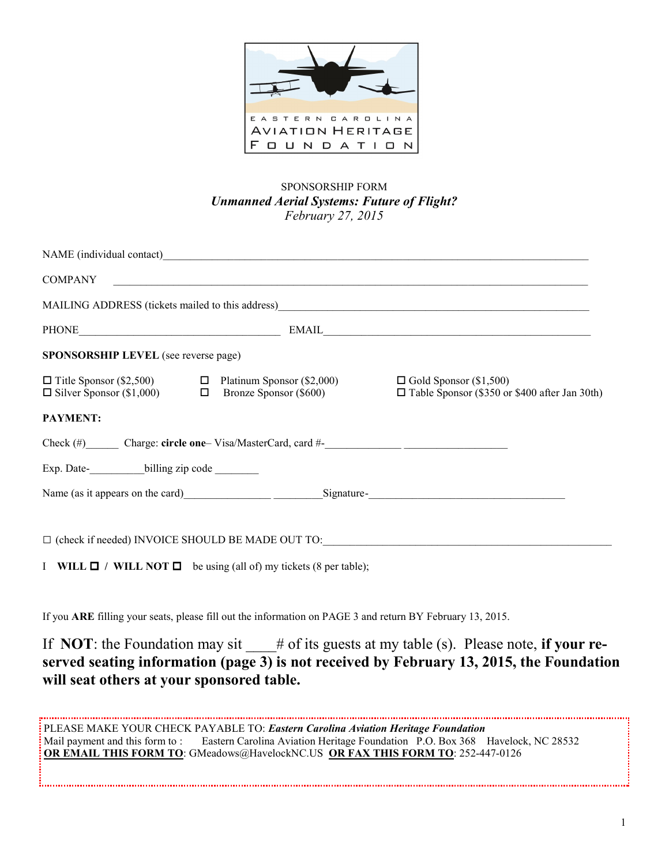

# SPONSORSHIP FORM *Unmanned Aerial Systems: Future of Flight? February 27, 2015*

| <b>SPONSORSHIP LEVEL</b> (see reverse page)                                                                                                                                                                                    |                                                                                                                |                                                                                                                                                                                                                                                     |
|--------------------------------------------------------------------------------------------------------------------------------------------------------------------------------------------------------------------------------|----------------------------------------------------------------------------------------------------------------|-----------------------------------------------------------------------------------------------------------------------------------------------------------------------------------------------------------------------------------------------------|
|                                                                                                                                                                                                                                |                                                                                                                | $\Box$ Title Sponsor (\$2,500) $\Box$ Platinum Sponsor (\$2,000) $\Box$ Gold Sponsor (\$1,500) $\Box$ Silver Sponsor (\$1,000) $\Box$ Bronze Sponsor (\$600) $\Box$ Table Sponsor (\$350 or<br>$\Box$ Table Sponsor (\$350 or \$400 after Jan 30th) |
| <b>PAYMENT:</b>                                                                                                                                                                                                                |                                                                                                                |                                                                                                                                                                                                                                                     |
|                                                                                                                                                                                                                                | Check (#) Charge: circle one-Visa/MasterCard, card #-<br>Check (#) Charge: circle one-Visa/MasterCard, card #- |                                                                                                                                                                                                                                                     |
| Exp. Date- leading zip code  left and the billing zip code  left and the billing zip code  left and the billing zip code  left and the billing zip code  left and the billing zip code  left and the billing zip code  left an |                                                                                                                |                                                                                                                                                                                                                                                     |
|                                                                                                                                                                                                                                |                                                                                                                | Name (as it appears on the card) Signature-<br>Signature-                                                                                                                                                                                           |
|                                                                                                                                                                                                                                |                                                                                                                | $\Box$ (check if needed) INVOICE SHOULD BE MADE OUT TO:                                                                                                                                                                                             |
|                                                                                                                                                                                                                                | I WILL $\Box$ / WILL NOT $\Box$ be using (all of) my tickets (8 per table);                                    |                                                                                                                                                                                                                                                     |
|                                                                                                                                                                                                                                |                                                                                                                |                                                                                                                                                                                                                                                     |

If you **ARE** filling your seats, please fill out the information on PAGE 3 and return BY February 13, 2015.

If **NOT**: the Foundation may sit  $\#$  of its guests at my table (s). Please note, **if your reserved seating information (page 3) is not received by February 13, 2015, the Foundation will seat others at your sponsored table.**

PLEASE MAKE YOUR CHECK PAYABLE TO: *Eastern Carolina Aviation Heritage Foundation* Mail payment and this form to: Eastern Carolina Aviation Heritage Foundation P.O. Box 368 Havelock, NC 28532 **OR EMAIL THIS FORM TO**: GMeadows@HavelockNC.US **OR FAX THIS FORM TO**: 252-447-0126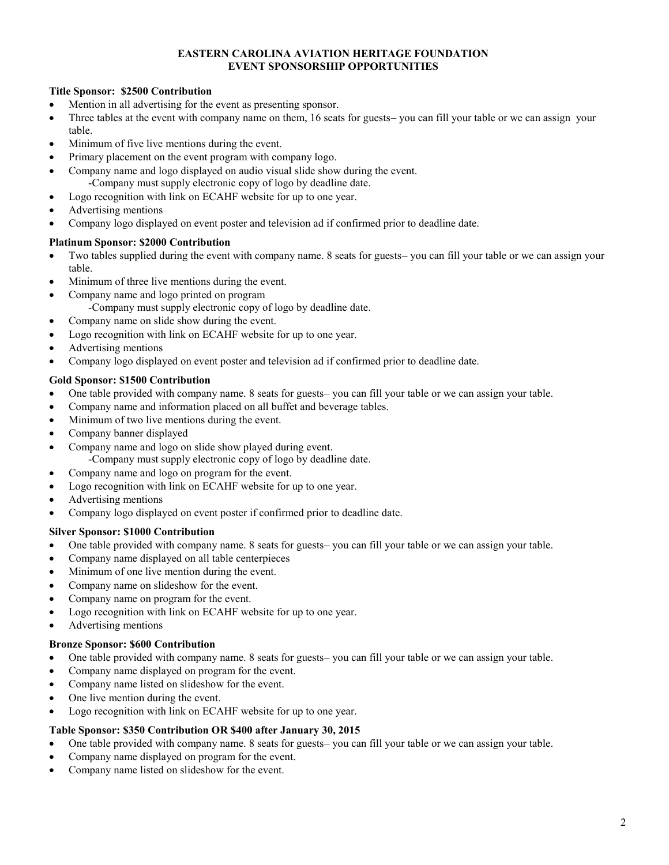#### **EASTERN CAROLINA AVIATION HERITAGE FOUNDATION EVENT SPONSORSHIP OPPORTUNITIES**

#### **Title Sponsor: \$2500 Contribution**

- Mention in all advertising for the event as presenting sponsor.
- Three tables at the event with company name on them, 16 seats for guests– you can fill your table or we can assign your table.
- Minimum of five live mentions during the event.
- Primary placement on the event program with company logo.
- Company name and logo displayed on audio visual slide show during the event. -Company must supply electronic copy of logo by deadline date.
- Logo recognition with link on ECAHF website for up to one year.
- Advertising mentions
- Company logo displayed on event poster and television ad if confirmed prior to deadline date.

#### **Platinum Sponsor: \$2000 Contribution**

- Two tables supplied during the event with company name. 8 seats for guests– you can fill your table or we can assign your table.
- Minimum of three live mentions during the event.
- Company name and logo printed on program
	- -Company must supply electronic copy of logo by deadline date.
- Company name on slide show during the event.
- Logo recognition with link on ECAHF website for up to one year.
- Advertising mentions
- Company logo displayed on event poster and television ad if confirmed prior to deadline date.

#### **Gold Sponsor: \$1500 Contribution**

- One table provided with company name. 8 seats for guests– you can fill your table or we can assign your table.
- Company name and information placed on all buffet and beverage tables.
- Minimum of two live mentions during the event.
- Company banner displayed
- Company name and logo on slide show played during event. -Company must supply electronic copy of logo by deadline date.
- Company name and logo on program for the event.
- Logo recognition with link on ECAHF website for up to one year.
- Advertising mentions
- Company logo displayed on event poster if confirmed prior to deadline date.

## **Silver Sponsor: \$1000 Contribution**

- One table provided with company name. 8 seats for guests– you can fill your table or we can assign your table.
- Company name displayed on all table centerpieces
- Minimum of one live mention during the event.
- Company name on slideshow for the event.
- Company name on program for the event.
- Logo recognition with link on ECAHF website for up to one year.
- Advertising mentions

## **Bronze Sponsor: \$600 Contribution**

- One table provided with company name. 8 seats for guests– you can fill your table or we can assign your table.
- Company name displayed on program for the event.
- Company name listed on slideshow for the event.
- One live mention during the event.
- Logo recognition with link on ECAHF website for up to one year.

## **Table Sponsor: \$350 Contribution OR \$400 after January 30, 2015**

- One table provided with company name. 8 seats for guests– you can fill your table or we can assign your table.
- Company name displayed on program for the event.
- Company name listed on slideshow for the event.